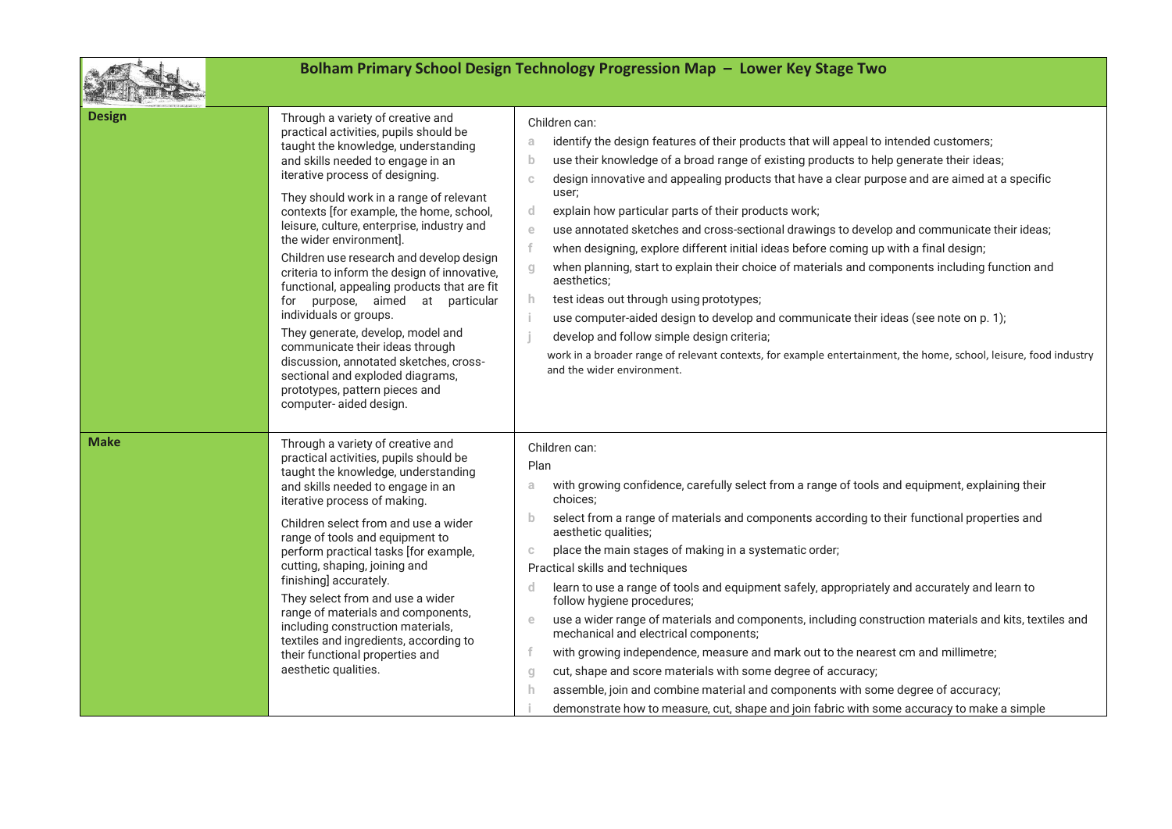

## **Bolham Primary School Design Technology Progression Map – Lower Key Stage Two**

| <b>Design</b><br>iterative process of designing.<br>the wider environment].<br>for<br>individuals or groups.<br>computer-aided design. | Through a variety of creative and<br>practical activities, pupils should be<br>taught the knowledge, understanding<br>and skills needed to engage in an<br>They should work in a range of relevant<br>contexts [for example, the home, school,<br>leisure, culture, enterprise, industry and<br>Children use research and develop design<br>criteria to inform the design of innovative,<br>functional, appealing products that are fit<br>purpose, aimed at particular<br>They generate, develop, model and<br>communicate their ideas through<br>discussion, annotated sketches, cross-<br>sectional and exploded diagrams,<br>prototypes, pattern pieces and | Children can:<br>identify the design features of their products that will appeal to intended customers;<br>a<br>use their knowledge of a broad range of existing products to help generate their ideas;<br>b<br>design innovative and appealing products that have a clear purpose and are aimed at a specific<br>$\mathbb{C}$<br>user;<br>explain how particular parts of their products work;<br>d<br>use annotated sketches and cross-sectional drawings to develop and communicate their ideas;<br>$\epsilon$<br>when designing, explore different initial ideas before coming up with a final design;<br>when planning, start to explain their choice of materials and components including function and<br>g<br>aesthetics;<br>h<br>test ideas out through using prototypes;<br>use computer-aided design to develop and communicate their ideas (see note on p. 1);<br>develop and follow simple design criteria;<br>work in a broader range of relevant contexts, for example entertainment, the home, school, leisure, food industry<br>and the wider environment. |
|----------------------------------------------------------------------------------------------------------------------------------------|-----------------------------------------------------------------------------------------------------------------------------------------------------------------------------------------------------------------------------------------------------------------------------------------------------------------------------------------------------------------------------------------------------------------------------------------------------------------------------------------------------------------------------------------------------------------------------------------------------------------------------------------------------------------|-----------------------------------------------------------------------------------------------------------------------------------------------------------------------------------------------------------------------------------------------------------------------------------------------------------------------------------------------------------------------------------------------------------------------------------------------------------------------------------------------------------------------------------------------------------------------------------------------------------------------------------------------------------------------------------------------------------------------------------------------------------------------------------------------------------------------------------------------------------------------------------------------------------------------------------------------------------------------------------------------------------------------------------------------------------------------------|
| <b>Make</b><br>iterative process of making.<br>cutting, shaping, joining and<br>finishing] accurately.<br>aesthetic qualities.         | Through a variety of creative and<br>practical activities, pupils should be<br>taught the knowledge, understanding<br>and skills needed to engage in an<br>Children select from and use a wider<br>range of tools and equipment to<br>perform practical tasks [for example,<br>They select from and use a wider<br>range of materials and components,<br>including construction materials,<br>textiles and ingredients, according to<br>their functional properties and                                                                                                                                                                                         | Children can:<br>Plan<br>with growing confidence, carefully select from a range of tools and equipment, explaining their<br>a<br>choices;<br>select from a range of materials and components according to their functional properties and<br>b<br>aesthetic qualities;<br>place the main stages of making in a systematic order;<br>C<br>Practical skills and techniques<br>learn to use a range of tools and equipment safely, appropriately and accurately and learn to<br>d<br>follow hygiene procedures;<br>use a wider range of materials and components, including construction materials and kits, textiles and<br>e<br>mechanical and electrical components;<br>with growing independence, measure and mark out to the nearest cm and millimetre;<br>cut, shape and score materials with some degree of accuracy;<br>g<br>assemble, join and combine material and components with some degree of accuracy;<br>h<br>demonstrate how to measure, cut, shape and join fabric with some accuracy to make a simple                                                       |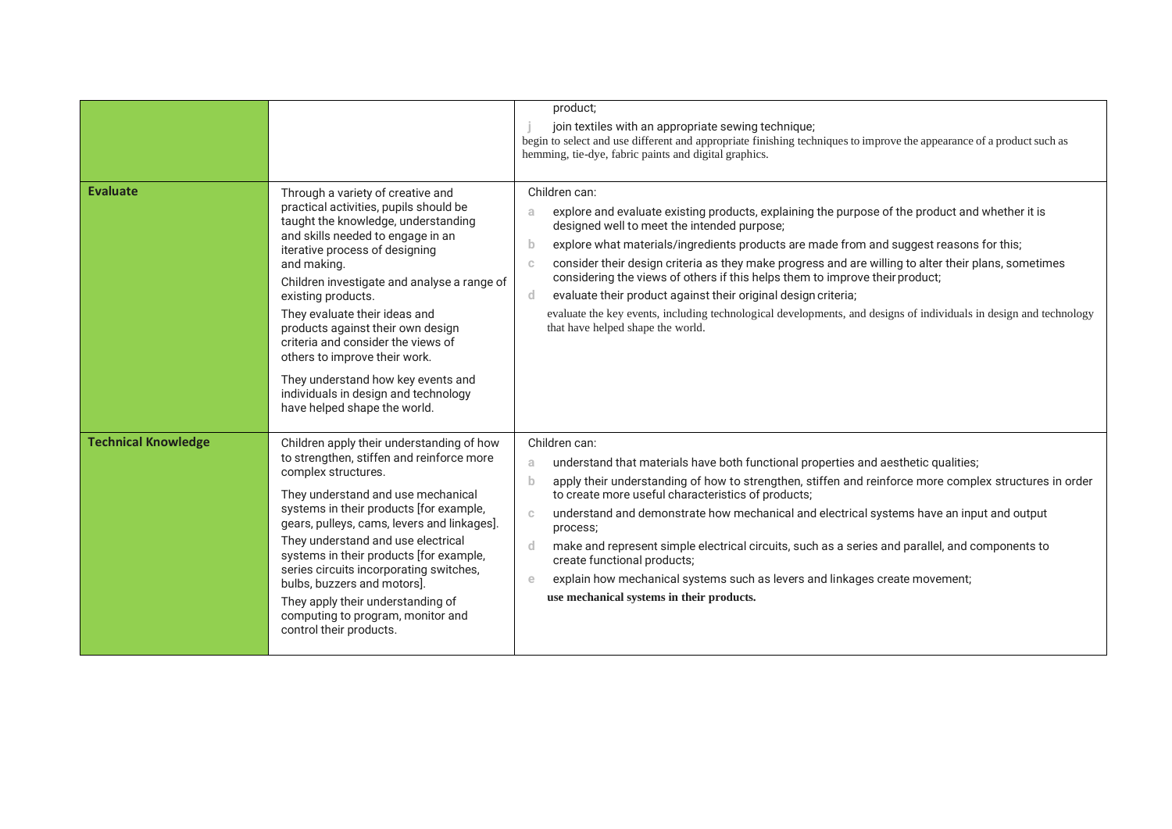|                            |                                                                                                                                                                                                                                                                                                                                                                                                                                                                                                                                          | product;<br>join textiles with an appropriate sewing technique;<br>begin to select and use different and appropriate finishing techniques to improve the appearance of a product such as<br>hemming, tie-dye, fabric paints and digital graphics.                                                                                                                                                                                                                                                                                                                                                                                                                                                    |
|----------------------------|------------------------------------------------------------------------------------------------------------------------------------------------------------------------------------------------------------------------------------------------------------------------------------------------------------------------------------------------------------------------------------------------------------------------------------------------------------------------------------------------------------------------------------------|------------------------------------------------------------------------------------------------------------------------------------------------------------------------------------------------------------------------------------------------------------------------------------------------------------------------------------------------------------------------------------------------------------------------------------------------------------------------------------------------------------------------------------------------------------------------------------------------------------------------------------------------------------------------------------------------------|
| <b>Evaluate</b>            | Through a variety of creative and<br>practical activities, pupils should be<br>taught the knowledge, understanding<br>and skills needed to engage in an<br>iterative process of designing<br>and making.<br>Children investigate and analyse a range of<br>existing products.<br>They evaluate their ideas and<br>products against their own design<br>criteria and consider the views of<br>others to improve their work.<br>They understand how key events and<br>individuals in design and technology<br>have helped shape the world. | Children can:<br>explore and evaluate existing products, explaining the purpose of the product and whether it is<br>a<br>designed well to meet the intended purpose;<br>explore what materials/ingredients products are made from and suggest reasons for this;<br>b<br>consider their design criteria as they make progress and are willing to alter their plans, sometimes<br>C<br>considering the views of others if this helps them to improve their product;<br>evaluate their product against their original design criteria;<br>d.<br>evaluate the key events, including technological developments, and designs of individuals in design and technology<br>that have helped shape the world. |
| <b>Technical Knowledge</b> | Children apply their understanding of how<br>to strengthen, stiffen and reinforce more<br>complex structures.<br>They understand and use mechanical<br>systems in their products [for example,<br>gears, pulleys, cams, levers and linkages].<br>They understand and use electrical<br>systems in their products [for example,<br>series circuits incorporating switches,<br>bulbs, buzzers and motors].<br>They apply their understanding of<br>computing to program, monitor and<br>control their products.                            | Children can:<br>understand that materials have both functional properties and aesthetic qualities;<br>a<br>apply their understanding of how to strengthen, stiffen and reinforce more complex structures in order<br>b<br>to create more useful characteristics of products;<br>understand and demonstrate how mechanical and electrical systems have an input and output<br>C<br>process;<br>make and represent simple electrical circuits, such as a series and parallel, and components to<br>d.<br>create functional products;<br>explain how mechanical systems such as levers and linkages create movement;<br>e<br>use mechanical systems in their products.                                 |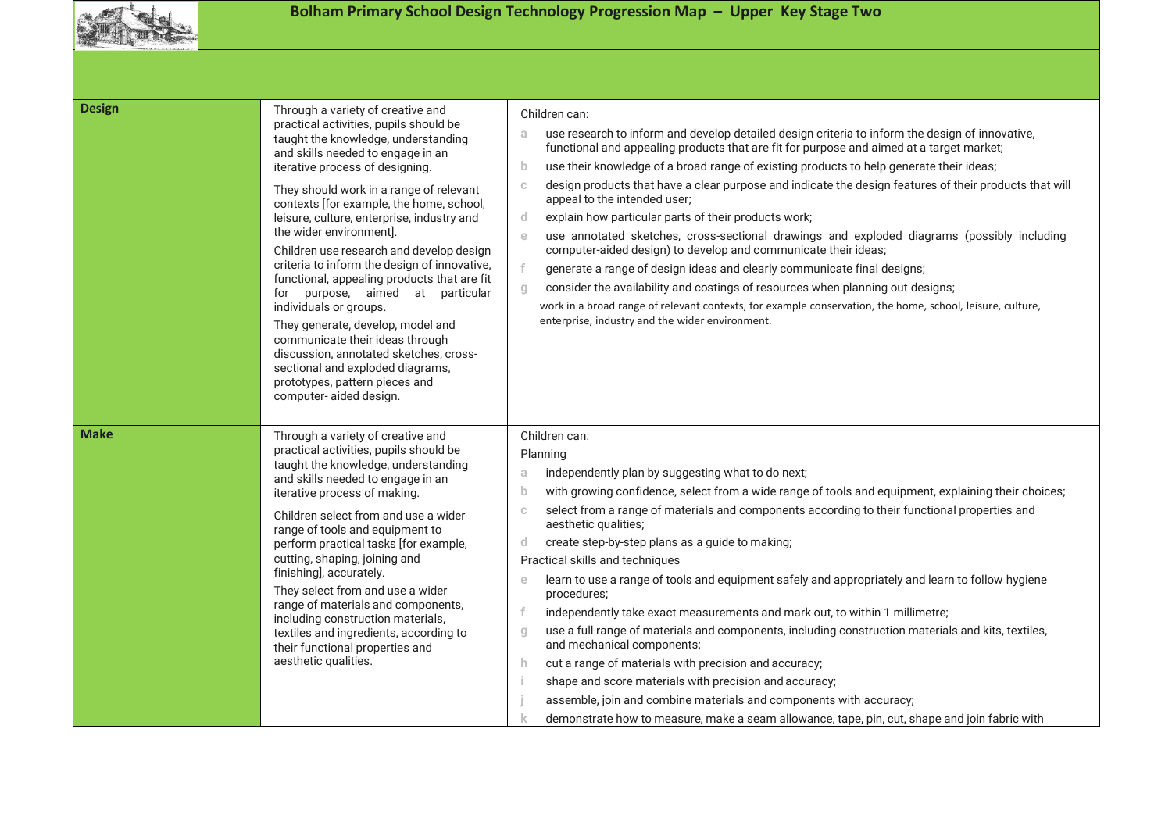

## **Bolham Primary School Design Technology Progression Map – Upper Key Stage Two**

| <b>Design</b> | Through a variety of creative and<br>practical activities, pupils should be<br>taught the knowledge, understanding<br>and skills needed to engage in an<br>iterative process of designing.<br>They should work in a range of relevant<br>contexts [for example, the home, school,<br>leisure, culture, enterprise, industry and<br>the wider environment].<br>Children use research and develop design<br>criteria to inform the design of innovative,<br>functional, appealing products that are fit<br>for purpose, aimed at particular<br>individuals or groups.<br>They generate, develop, model and<br>communicate their ideas through<br>discussion, annotated sketches, cross-<br>sectional and exploded diagrams,<br>prototypes, pattern pieces and<br>computer-aided design. | Children can:<br>use research to inform and develop detailed design criteria to inform the design of innovative,<br>a<br>functional and appealing products that are fit for purpose and aimed at a target market;<br>use their knowledge of a broad range of existing products to help generate their ideas;<br>b<br>design products that have a clear purpose and indicate the design features of their products that will<br>C<br>appeal to the intended user;<br>explain how particular parts of their products work;<br>d<br>use annotated sketches, cross-sectional drawings and exploded diagrams (possibly including<br>e<br>computer-aided design) to develop and communicate their ideas;<br>f<br>generate a range of design ideas and clearly communicate final designs;<br>consider the availability and costings of resources when planning out designs;<br>$q_{\parallel}$<br>work in a broad range of relevant contexts, for example conservation, the home, school, leisure, culture,<br>enterprise, industry and the wider environment.                |
|---------------|---------------------------------------------------------------------------------------------------------------------------------------------------------------------------------------------------------------------------------------------------------------------------------------------------------------------------------------------------------------------------------------------------------------------------------------------------------------------------------------------------------------------------------------------------------------------------------------------------------------------------------------------------------------------------------------------------------------------------------------------------------------------------------------|------------------------------------------------------------------------------------------------------------------------------------------------------------------------------------------------------------------------------------------------------------------------------------------------------------------------------------------------------------------------------------------------------------------------------------------------------------------------------------------------------------------------------------------------------------------------------------------------------------------------------------------------------------------------------------------------------------------------------------------------------------------------------------------------------------------------------------------------------------------------------------------------------------------------------------------------------------------------------------------------------------------------------------------------------------------------|
| <b>Make</b>   | Through a variety of creative and<br>practical activities, pupils should be<br>taught the knowledge, understanding<br>and skills needed to engage in an<br>iterative process of making.<br>Children select from and use a wider<br>range of tools and equipment to<br>perform practical tasks [for example,<br>cutting, shaping, joining and<br>finishing], accurately.<br>They select from and use a wider<br>range of materials and components,<br>including construction materials,<br>textiles and ingredients, according to<br>their functional properties and<br>aesthetic qualities.                                                                                                                                                                                           | Children can:<br>Planning<br>independently plan by suggesting what to do next;<br>a<br>with growing confidence, select from a wide range of tools and equipment, explaining their choices;<br>b<br>select from a range of materials and components according to their functional properties and<br>C<br>aesthetic qualities;<br>create step-by-step plans as a guide to making;<br>d<br>Practical skills and techniques<br>learn to use a range of tools and equipment safely and appropriately and learn to follow hygiene<br>e<br>procedures;<br>independently take exact measurements and mark out, to within 1 millimetre;<br>use a full range of materials and components, including construction materials and kits, textiles,<br>g<br>and mechanical components;<br>cut a range of materials with precision and accuracy;<br>h<br>shape and score materials with precision and accuracy;<br>assemble, join and combine materials and components with accuracy;<br>demonstrate how to measure, make a seam allowance, tape, pin, cut, shape and join fabric with |